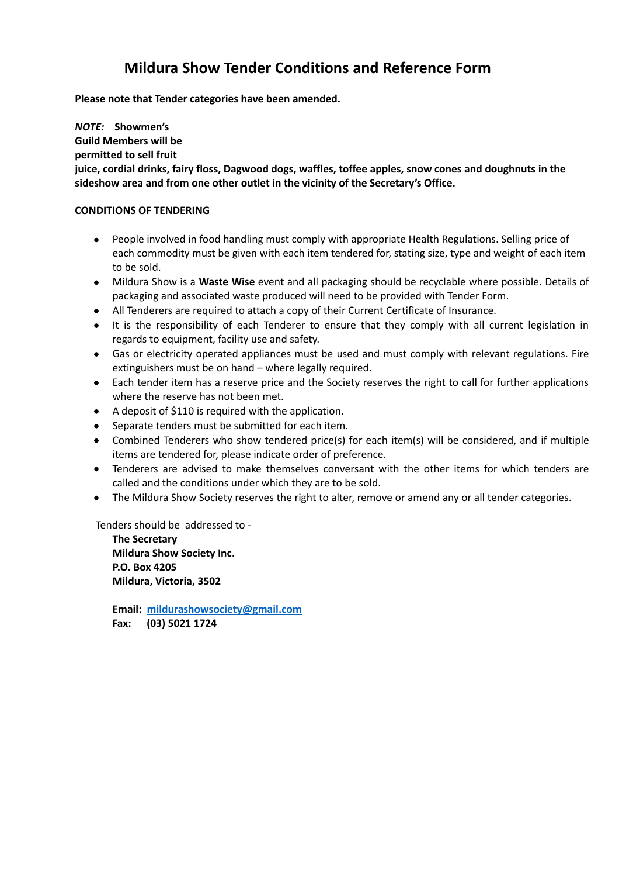# **Mildura Show Tender Conditions and Reference Form**

**Please note that Tender categories have been amended.**

*NOTE:* **Showmen's**

**Guild Members will be**

**permitted to sell fruit**

**juice, cordial drinks, fairy floss, Dagwood dogs, waffles, toffee apples, snow cones and doughnuts in the sideshow area and from one other outlet in the vicinity of the Secretary's Office.**

## **CONDITIONS OF TENDERING**

- People involved in food handling must comply with appropriate Health Regulations. Selling price of each commodity must be given with each item tendered for, stating size, type and weight of each item to be sold.
- Mildura Show is a **Waste Wise** event and all packaging should be recyclable where possible. Details of packaging and associated waste produced will need to be provided with Tender Form.
- All Tenderers are required to attach a copy of their Current Certificate of Insurance.
- It is the responsibility of each Tenderer to ensure that they comply with all current legislation in regards to equipment, facility use and safety.
- Gas or electricity operated appliances must be used and must comply with relevant regulations. Fire extinguishers must be on hand – where legally required.
- Each tender item has a reserve price and the Society reserves the right to call for further applications where the reserve has not been met.
- A deposit of \$110 is required with the application.
- **•** Separate tenders must be submitted for each item.
- Combined Tenderers who show tendered price(s) for each item(s) will be considered, and if multiple items are tendered for, please indicate order of preference.
- Tenderers are advised to make themselves conversant with the other items for which tenders are called and the conditions under which they are to be sold.
- The Mildura Show Society reserves the right to alter, remove or amend any or all tender categories.

Tenders should be addressed to -

**The Secretary Mildura Show Society Inc. P.O. Box 4205 Mildura, Victoria, 3502**

**Email: [mildurashowsociety@gmail.com](mailto:mildurashowsociety@gmail.com) Fax: (03) 5021 1724**